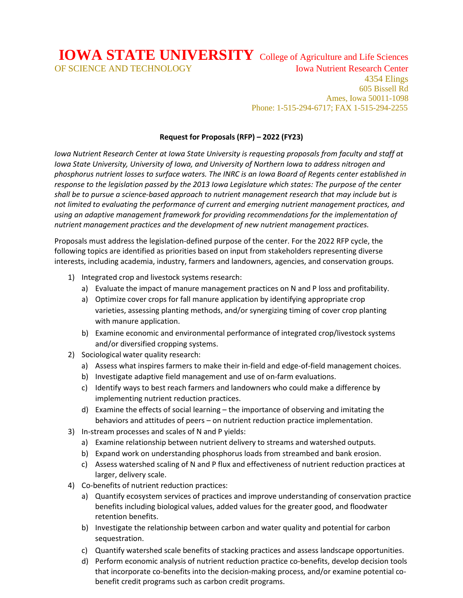**IOWA STATE UNIVERSITY** College of Agriculture and Life Sciences OF SCIENCE AND TECHNOLOGY Iowa Nutrient Research Center 4354 Elings 605 Bissell Rd Ames, Iowa 50011-1098

## **Request for Proposals (RFP) – 2022 (FY23)**

Phone: 1-515-294-6717; FAX 1-515-294-2255

*Iowa Nutrient Research Center at Iowa State University is requesting proposals from faculty and staff at Iowa State University, University of Iowa, and University of Northern Iowa to address nitrogen and phosphorus nutrient losses to surface waters. The INRC is an Iowa Board of Regents center established in response to the legislation passed by the 2013 Iowa Legislature which states: The purpose of the center shall be to pursue a science-based approach to nutrient management research that may include but is not limited to evaluating the performance of current and emerging nutrient management practices, and using an adaptive management framework for providing recommendations for the implementation of nutrient management practices and the development of new nutrient management practices.*

Proposals must address the legislation-defined purpose of the center. For the 2022 RFP cycle, the following topics are identified as priorities based on input from stakeholders representing diverse interests, including academia, industry, farmers and landowners, agencies, and conservation groups.

- 1) Integrated crop and livestock systems research:
	- a) Evaluate the impact of manure management practices on N and P loss and profitability.
	- a) Optimize cover crops for fall manure application by identifying appropriate crop varieties, assessing planting methods, and/or synergizing timing of cover crop planting with manure application.
	- b) Examine economic and environmental performance of integrated crop/livestock systems and/or diversified cropping systems.
- 2) Sociological water quality research:
	- a) Assess what inspires farmers to make their in-field and edge-of-field management choices.
	- b) Investigate adaptive field management and use of on-farm evaluations.
	- c) Identify ways to best reach farmers and landowners who could make a difference by implementing nutrient reduction practices.
	- d) Examine the effects of social learning the importance of observing and imitating the behaviors and attitudes of peers – on nutrient reduction practice implementation.
- 3) In-stream processes and scales of N and P yields:
	- a) Examine relationship between nutrient delivery to streams and watershed outputs.
	- b) Expand work on understanding phosphorus loads from streambed and bank erosion.
	- c) Assess watershed scaling of N and P flux and effectiveness of nutrient reduction practices at larger, delivery scale.
- 4) Co-benefits of nutrient reduction practices:
	- a) Quantify ecosystem services of practices and improve understanding of conservation practice benefits including biological values, added values for the greater good, and floodwater retention benefits.
	- b) Investigate the relationship between carbon and water quality and potential for carbon sequestration.
	- c) Quantify watershed scale benefits of stacking practices and assess landscape opportunities.
	- d) Perform economic analysis of nutrient reduction practice co-benefits, develop decision tools that incorporate co-benefits into the decision-making process, and/or examine potential cobenefit credit programs such as carbon credit programs.